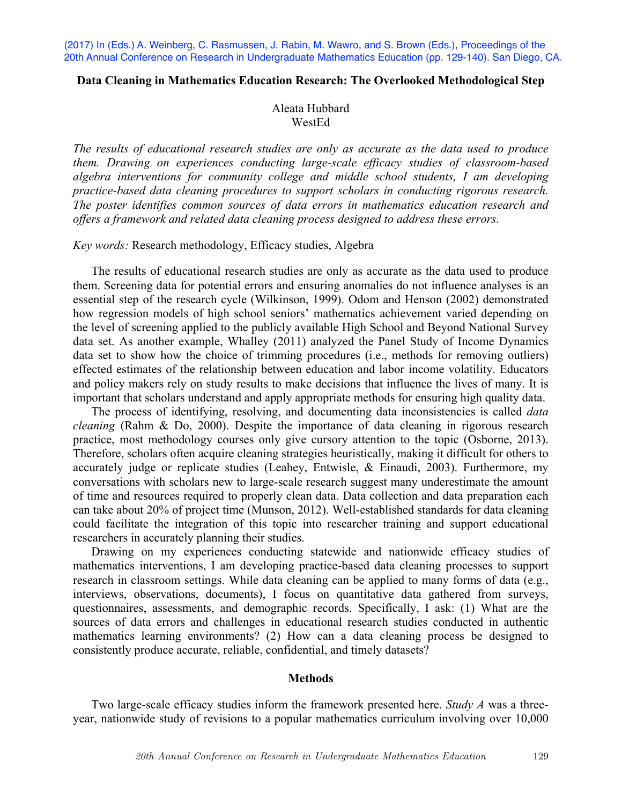(2017) In (Eds.) A. Weinberg, C. Rasmussen, J. Rabin, M. Wawro, and S. Brown (Eds.), Proceedings of the 20th Annual Conference on Research in Undergraduate Mathematics Education (pp. 129-140). San Diego, CA.

#### **Data Cleaning in Mathematics Education Research: The Overlooked Methodological Step**

### Aleata Hubbard WestEd

*The results of educational research studies are only as accurate as the data used to produce them. Drawing on experiences conducting large-scale efficacy studies of classroom-based algebra interventions for community college and middle school students, I am developing practice-based data cleaning procedures to support scholars in conducting rigorous research. The poster identifies common sources of data errors in mathematics education research and offers a framework and related data cleaning process designed to address these errors.*

#### *Key words:* Research methodology, Efficacy studies, Algebra

The results of educational research studies are only as accurate as the data used to produce them. Screening data for potential errors and ensuring anomalies do not influence analyses is an essential step of the research cycle (Wilkinson, 1999). Odom and Henson (2002) demonstrated how regression models of high school seniors' mathematics achievement varied depending on the level of screening applied to the publicly available High School and Beyond National Survey data set. As another example, Whalley (2011) analyzed the Panel Study of Income Dynamics data set to show how the choice of trimming procedures (i.e., methods for removing outliers) effected estimates of the relationship between education and labor income volatility. Educators and policy makers rely on study results to make decisions that influence the lives of many. It is important that scholars understand and apply appropriate methods for ensuring high quality data.

The process of identifying, resolving, and documenting data inconsistencies is called *data cleaning* (Rahm & Do, 2000). Despite the importance of data cleaning in rigorous research practice, most methodology courses only give cursory attention to the topic (Osborne, 2013). Therefore, scholars often acquire cleaning strategies heuristically, making it difficult for others to accurately judge or replicate studies (Leahey, Entwisle, & Einaudi, 2003). Furthermore, my conversations with scholars new to large-scale research suggest many underestimate the amount of time and resources required to properly clean data. Data collection and data preparation each can take about 20% of project time (Munson, 2012). Well-established standards for data cleaning could facilitate the integration of this topic into researcher training and support educational researchers in accurately planning their studies.

Drawing on my experiences conducting statewide and nationwide efficacy studies of mathematics interventions, I am developing practice-based data cleaning processes to support research in classroom settings. While data cleaning can be applied to many forms of data (e.g., interviews, observations, documents), I focus on quantitative data gathered from surveys, questionnaires, assessments, and demographic records. Specifically, I ask: (1) What are the sources of data errors and challenges in educational research studies conducted in authentic mathematics learning environments? (2) How can a data cleaning process be designed to consistently produce accurate, reliable, confidential, and timely datasets?

### **Methods**

Two large-scale efficacy studies inform the framework presented here. *Study A* was a threeyear, nationwide study of revisions to a popular mathematics curriculum involving over 10,000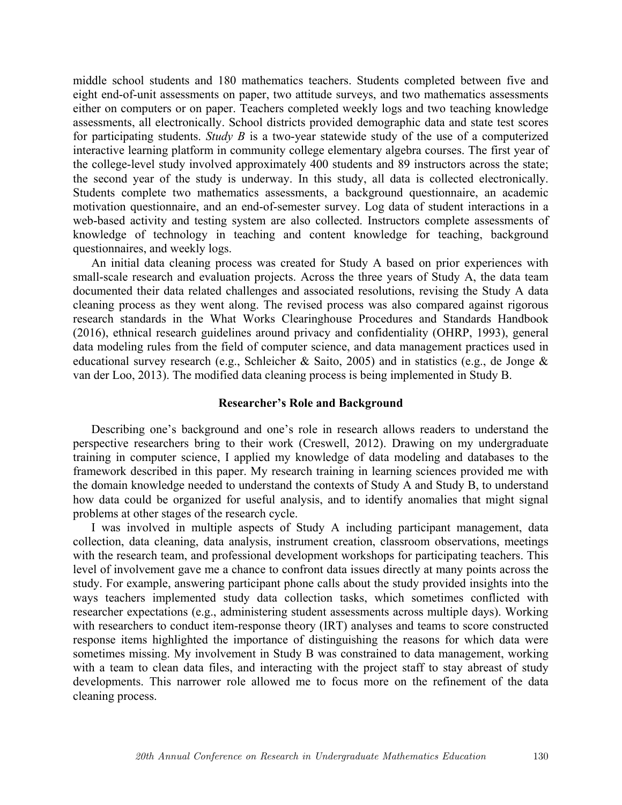middle school students and 180 mathematics teachers. Students completed between five and eight end-of-unit assessments on paper, two attitude surveys, and two mathematics assessments either on computers or on paper. Teachers completed weekly logs and two teaching knowledge assessments, all electronically. School districts provided demographic data and state test scores for participating students. *Study B* is a two-year statewide study of the use of a computerized interactive learning platform in community college elementary algebra courses. The first year of the college-level study involved approximately 400 students and 89 instructors across the state; the second year of the study is underway. In this study, all data is collected electronically. Students complete two mathematics assessments, a background questionnaire, an academic motivation questionnaire, and an end-of-semester survey. Log data of student interactions in a web-based activity and testing system are also collected. Instructors complete assessments of knowledge of technology in teaching and content knowledge for teaching, background questionnaires, and weekly logs.

An initial data cleaning process was created for Study A based on prior experiences with small-scale research and evaluation projects. Across the three years of Study A, the data team documented their data related challenges and associated resolutions, revising the Study A data cleaning process as they went along. The revised process was also compared against rigorous research standards in the What Works Clearinghouse Procedures and Standards Handbook (2016), ethnical research guidelines around privacy and confidentiality (OHRP, 1993), general data modeling rules from the field of computer science, and data management practices used in educational survey research (e.g., Schleicher & Saito, 2005) and in statistics (e.g., de Jonge & van der Loo, 2013). The modified data cleaning process is being implemented in Study B.

#### **Researcher's Role and Background**

Describing one's background and one's role in research allows readers to understand the perspective researchers bring to their work (Creswell, 2012). Drawing on my undergraduate training in computer science, I applied my knowledge of data modeling and databases to the framework described in this paper. My research training in learning sciences provided me with the domain knowledge needed to understand the contexts of Study A and Study B, to understand how data could be organized for useful analysis, and to identify anomalies that might signal problems at other stages of the research cycle.

I was involved in multiple aspects of Study A including participant management, data collection, data cleaning, data analysis, instrument creation, classroom observations, meetings with the research team, and professional development workshops for participating teachers. This level of involvement gave me a chance to confront data issues directly at many points across the study. For example, answering participant phone calls about the study provided insights into the ways teachers implemented study data collection tasks, which sometimes conflicted with researcher expectations (e.g., administering student assessments across multiple days). Working with researchers to conduct item-response theory (IRT) analyses and teams to score constructed response items highlighted the importance of distinguishing the reasons for which data were sometimes missing. My involvement in Study B was constrained to data management, working with a team to clean data files, and interacting with the project staff to stay abreast of study developments. This narrower role allowed me to focus more on the refinement of the data cleaning process.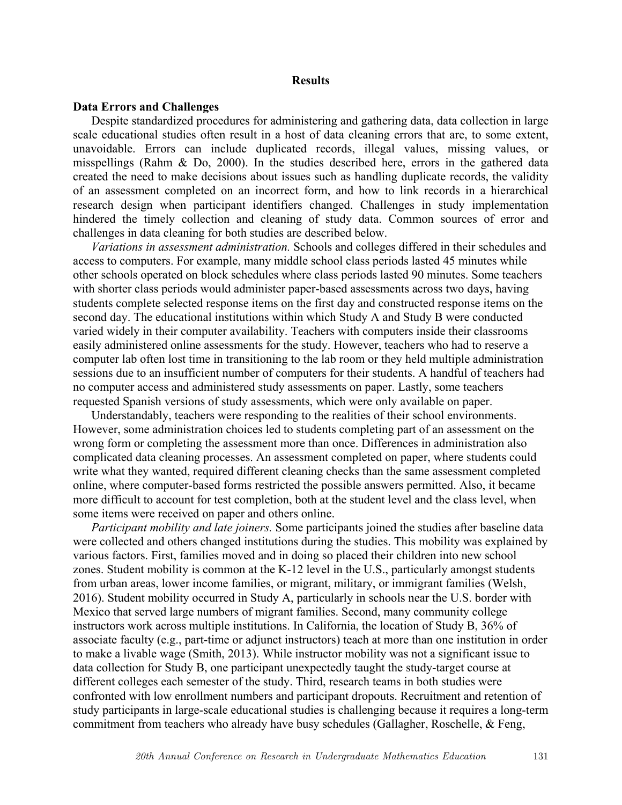#### **Results**

#### **Data Errors and Challenges**

Despite standardized procedures for administering and gathering data, data collection in large scale educational studies often result in a host of data cleaning errors that are, to some extent, unavoidable. Errors can include duplicated records, illegal values, missing values, or misspellings (Rahm & Do, 2000). In the studies described here, errors in the gathered data created the need to make decisions about issues such as handling duplicate records, the validity of an assessment completed on an incorrect form, and how to link records in a hierarchical research design when participant identifiers changed. Challenges in study implementation hindered the timely collection and cleaning of study data. Common sources of error and challenges in data cleaning for both studies are described below.

*Variations in assessment administration.* Schools and colleges differed in their schedules and access to computers. For example, many middle school class periods lasted 45 minutes while other schools operated on block schedules where class periods lasted 90 minutes. Some teachers with shorter class periods would administer paper-based assessments across two days, having students complete selected response items on the first day and constructed response items on the second day. The educational institutions within which Study A and Study B were conducted varied widely in their computer availability. Teachers with computers inside their classrooms easily administered online assessments for the study. However, teachers who had to reserve a computer lab often lost time in transitioning to the lab room or they held multiple administration sessions due to an insufficient number of computers for their students. A handful of teachers had no computer access and administered study assessments on paper. Lastly, some teachers requested Spanish versions of study assessments, which were only available on paper.

Understandably, teachers were responding to the realities of their school environments. However, some administration choices led to students completing part of an assessment on the wrong form or completing the assessment more than once. Differences in administration also complicated data cleaning processes. An assessment completed on paper, where students could write what they wanted, required different cleaning checks than the same assessment completed online, where computer-based forms restricted the possible answers permitted. Also, it became more difficult to account for test completion, both at the student level and the class level, when some items were received on paper and others online.

*Participant mobility and late joiners.* Some participants joined the studies after baseline data were collected and others changed institutions during the studies. This mobility was explained by various factors. First, families moved and in doing so placed their children into new school zones. Student mobility is common at the K-12 level in the U.S., particularly amongst students from urban areas, lower income families, or migrant, military, or immigrant families (Welsh, 2016). Student mobility occurred in Study A, particularly in schools near the U.S. border with Mexico that served large numbers of migrant families. Second, many community college instructors work across multiple institutions. In California, the location of Study B, 36% of associate faculty (e.g., part-time or adjunct instructors) teach at more than one institution in order to make a livable wage (Smith, 2013). While instructor mobility was not a significant issue to data collection for Study B, one participant unexpectedly taught the study-target course at different colleges each semester of the study. Third, research teams in both studies were confronted with low enrollment numbers and participant dropouts. Recruitment and retention of study participants in large-scale educational studies is challenging because it requires a long-term commitment from teachers who already have busy schedules (Gallagher, Roschelle, & Feng,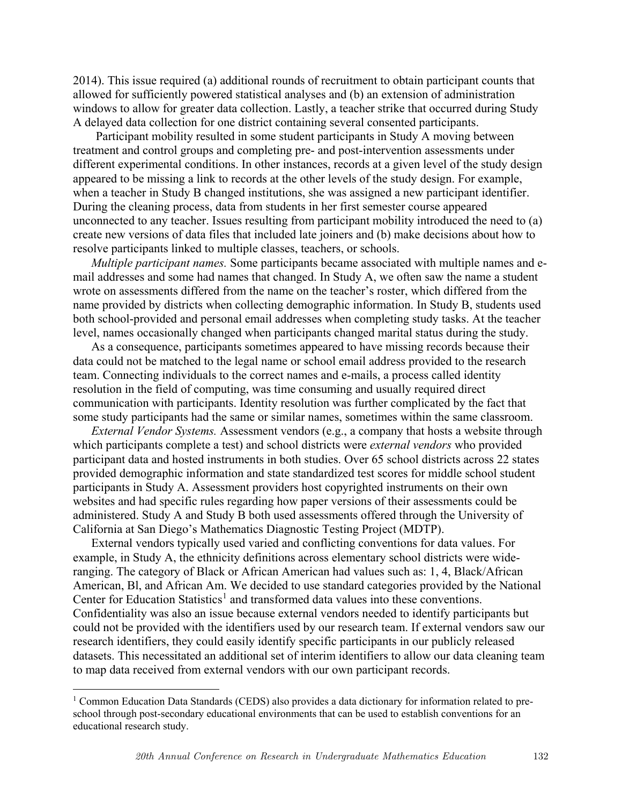2014). This issue required (a) additional rounds of recruitment to obtain participant counts that allowed for sufficiently powered statistical analyses and (b) an extension of administration windows to allow for greater data collection. Lastly, a teacher strike that occurred during Study A delayed data collection for one district containing several consented participants.

Participant mobility resulted in some student participants in Study A moving between treatment and control groups and completing pre- and post-intervention assessments under different experimental conditions. In other instances, records at a given level of the study design appeared to be missing a link to records at the other levels of the study design. For example, when a teacher in Study B changed institutions, she was assigned a new participant identifier. During the cleaning process, data from students in her first semester course appeared unconnected to any teacher. Issues resulting from participant mobility introduced the need to (a) create new versions of data files that included late joiners and (b) make decisions about how to resolve participants linked to multiple classes, teachers, or schools.

*Multiple participant names.* Some participants became associated with multiple names and email addresses and some had names that changed. In Study A, we often saw the name a student wrote on assessments differed from the name on the teacher's roster, which differed from the name provided by districts when collecting demographic information. In Study B, students used both school-provided and personal email addresses when completing study tasks. At the teacher level, names occasionally changed when participants changed marital status during the study.

As a consequence, participants sometimes appeared to have missing records because their data could not be matched to the legal name or school email address provided to the research team. Connecting individuals to the correct names and e-mails, a process called identity resolution in the field of computing, was time consuming and usually required direct communication with participants. Identity resolution was further complicated by the fact that some study participants had the same or similar names, sometimes within the same classroom.

*External Vendor Systems.* Assessment vendors (e.g., a company that hosts a website through which participants complete a test) and school districts were *external vendors* who provided participant data and hosted instruments in both studies. Over 65 school districts across 22 states provided demographic information and state standardized test scores for middle school student participants in Study A. Assessment providers host copyrighted instruments on their own websites and had specific rules regarding how paper versions of their assessments could be administered. Study A and Study B both used assessments offered through the University of California at San Diego's Mathematics Diagnostic Testing Project (MDTP).

External vendors typically used varied and conflicting conventions for data values. For example, in Study A, the ethnicity definitions across elementary school districts were wideranging. The category of Black or African American had values such as: 1, 4, Black/African American, Bl, and African Am. We decided to use standard categories provided by the National Center for Education Statistics<sup>1</sup> and transformed data values into these conventions. Confidentiality was also an issue because external vendors needed to identify participants but could not be provided with the identifiers used by our research team. If external vendors saw our research identifiers, they could easily identify specific participants in our publicly released datasets. This necessitated an additional set of interim identifiers to allow our data cleaning team to map data received from external vendors with our own participant records.

<sup>&</sup>lt;sup>1</sup> Common Education Data Standards (CEDS) also provides a data dictionary for information related to preschool through post-secondary educational environments that can be used to establish conventions for an educational research study.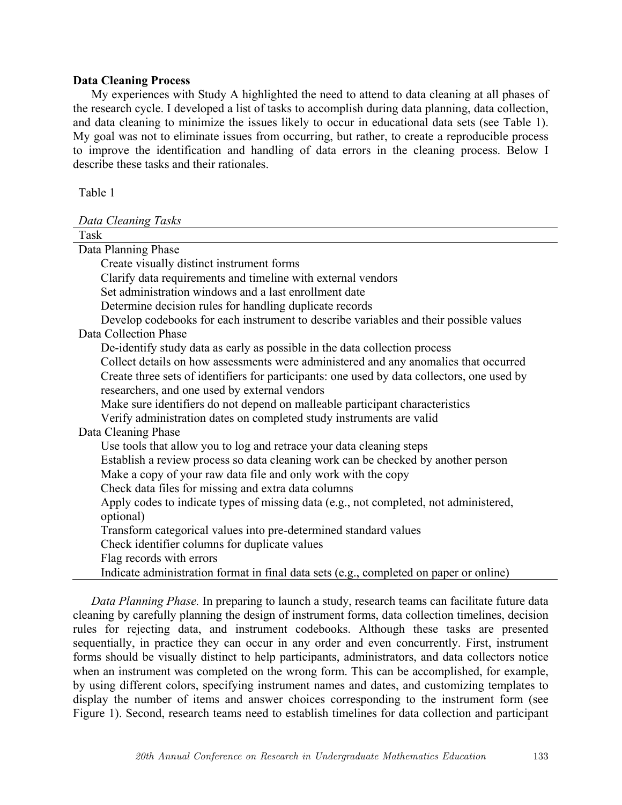### **Data Cleaning Process**

My experiences with Study A highlighted the need to attend to data cleaning at all phases of the research cycle. I developed a list of tasks to accomplish during data planning, data collection, and data cleaning to minimize the issues likely to occur in educational data sets (see Table 1). My goal was not to eliminate issues from occurring, but rather, to create a reproducible process to improve the identification and handling of data errors in the cleaning process. Below I describe these tasks and their rationales.

Table 1

*Data Cleaning Tasks*

| Task                                                                                        |
|---------------------------------------------------------------------------------------------|
| Data Planning Phase                                                                         |
| Create visually distinct instrument forms                                                   |
| Clarify data requirements and timeline with external vendors                                |
| Set administration windows and a last enrollment date                                       |
| Determine decision rules for handling duplicate records                                     |
| Develop codebooks for each instrument to describe variables and their possible values       |
| Data Collection Phase                                                                       |
| De-identify study data as early as possible in the data collection process                  |
| Collect details on how assessments were administered and any anomalies that occurred        |
| Create three sets of identifiers for participants: one used by data collectors, one used by |
| researchers, and one used by external vendors                                               |
| Make sure identifiers do not depend on malleable participant characteristics                |
| Verify administration dates on completed study instruments are valid                        |
| Data Cleaning Phase                                                                         |
| Use tools that allow you to log and retrace your data cleaning steps                        |
| Establish a review process so data cleaning work can be checked by another person           |
| Make a copy of your raw data file and only work with the copy                               |
| Check data files for missing and extra data columns                                         |
| Apply codes to indicate types of missing data (e.g., not completed, not administered,       |
| optional)                                                                                   |
| Transform categorical values into pre-determined standard values                            |
| Check identifier columns for duplicate values                                               |
| Flag records with errors                                                                    |
| Indicate administration format in final data sets (e.g., completed on paper or online)      |
|                                                                                             |

*Data Planning Phase.* In preparing to launch a study, research teams can facilitate future data cleaning by carefully planning the design of instrument forms, data collection timelines, decision rules for rejecting data, and instrument codebooks. Although these tasks are presented sequentially, in practice they can occur in any order and even concurrently. First, instrument forms should be visually distinct to help participants, administrators, and data collectors notice when an instrument was completed on the wrong form. This can be accomplished, for example, by using different colors, specifying instrument names and dates, and customizing templates to display the number of items and answer choices corresponding to the instrument form (see Figure 1). Second, research teams need to establish timelines for data collection and participant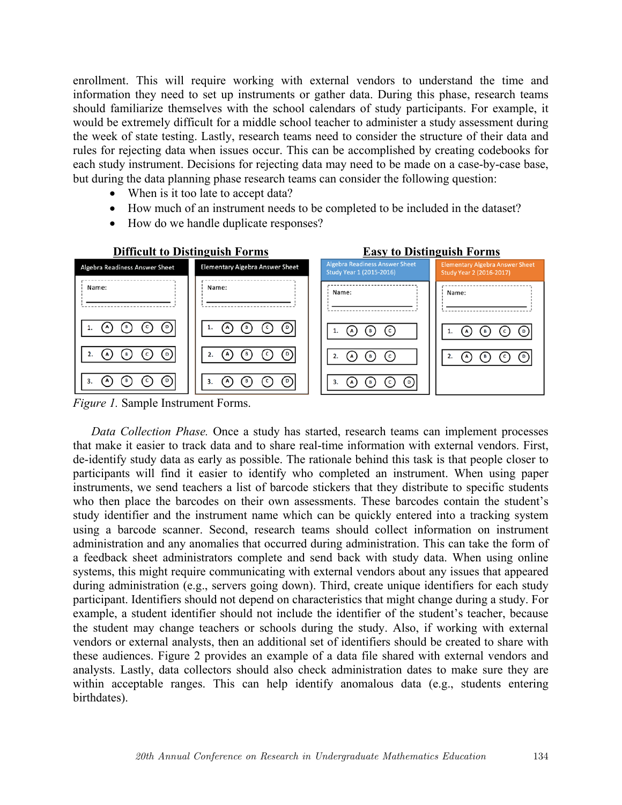enrollment. This will require working with external vendors to understand the time and information they need to set up instruments or gather data. During this phase, research teams should familiarize themselves with the school calendars of study participants. For example, it would be extremely difficult for a middle school teacher to administer a study assessment during the week of state testing. Lastly, research teams need to consider the structure of their data and rules for rejecting data when issues occur. This can be accomplished by creating codebooks for each study instrument. Decisions for rejecting data may need to be made on a case-by-case base, but during the data planning phase research teams can consider the following question:

- When is it too late to accept data?
- How much of an instrument needs to be completed to be included in the dataset?
- How do we handle duplicate responses?



*Figure 1.* Sample Instrument Forms.

*Data Collection Phase.* Once a study has started, research teams can implement processes that make it easier to track data and to share real-time information with external vendors. First, de-identify study data as early as possible. The rationale behind this task is that people closer to participants will find it easier to identify who completed an instrument. When using paper instruments, we send teachers a list of barcode stickers that they distribute to specific students who then place the barcodes on their own assessments. These barcodes contain the student's study identifier and the instrument name which can be quickly entered into a tracking system using a barcode scanner. Second, research teams should collect information on instrument administration and any anomalies that occurred during administration. This can take the form of a feedback sheet administrators complete and send back with study data. When using online systems, this might require communicating with external vendors about any issues that appeared during administration (e.g., servers going down). Third, create unique identifiers for each study participant. Identifiers should not depend on characteristics that might change during a study. For example, a student identifier should not include the identifier of the student's teacher, because the student may change teachers or schools during the study. Also, if working with external vendors or external analysts, then an additional set of identifiers should be created to share with these audiences. Figure 2 provides an example of a data file shared with external vendors and analysts. Lastly, data collectors should also check administration dates to make sure they are within acceptable ranges. This can help identify anomalous data (e.g., students entering birthdates).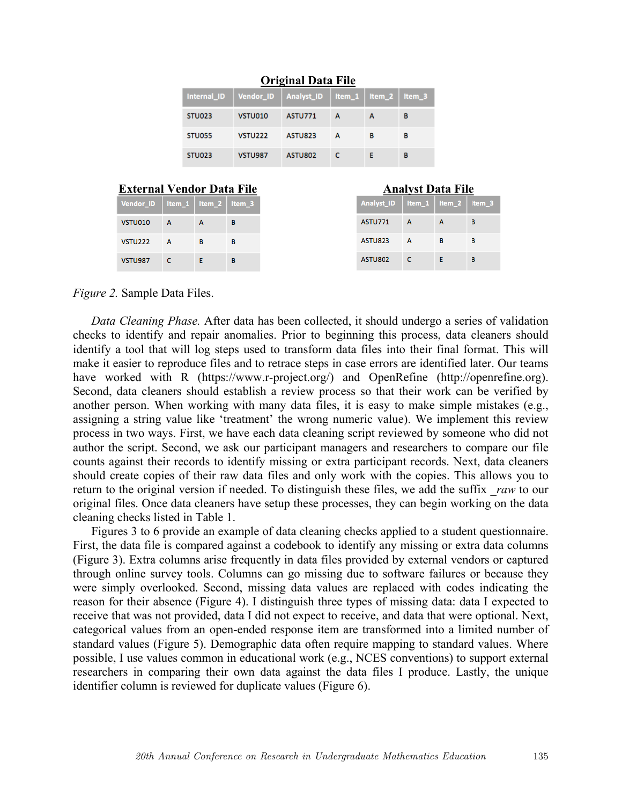|               |                | UHZIHAI DATA FIIT                                               |   |   |   |
|---------------|----------------|-----------------------------------------------------------------|---|---|---|
|               |                | Internal_ID   Vendor_ID   Analyst_ID   Item_1   Item_2   Item_3 |   |   |   |
| <b>STU023</b> | VSTU010        | <b>ASTU771</b>                                                  | А | А | в |
| <b>STU055</b> | VSTU222        | ASTU823                                                         | А | в | в |
| <b>STU023</b> | <b>VSTU987</b> | <b>ASTU802</b>                                                  | c |   | в |

# **Original Data File**

|                                      | <b>External Vendor Data File</b> |    |   |
|--------------------------------------|----------------------------------|----|---|
| Vendor_ID   Item_1   Item_2   Item_3 |                                  |    |   |
| VSTU010                              | $\mathbf{A}$                     | A  | в |
| <b>VSTU222</b>                       | <b>A</b>                         | в  | в |
| <b>VSTU987</b>                       | -C.                              | E. | B |

*Figure 2.* Sample Data Files.

*Data Cleaning Phase.* After data has been collected, it should undergo a series of validation checks to identify and repair anomalies. Prior to beginning this process, data cleaners should identify a tool that will log steps used to transform data files into their final format. This will make it easier to reproduce files and to retrace steps in case errors are identified later. Our teams have worked with R (https://www.r-project.org/) and OpenRefine (http://openrefine.org). Second, data cleaners should establish a review process so that their work can be verified by another person. When working with many data files, it is easy to make simple mistakes (e.g., assigning a string value like 'treatment' the wrong numeric value). We implement this review process in two ways. First, we have each data cleaning script reviewed by someone who did not author the script. Second, we ask our participant managers and researchers to compare our file counts against their records to identify missing or extra participant records. Next, data cleaners should create copies of their raw data files and only work with the copies. This allows you to return to the original version if needed. To distinguish these files, we add the suffix *raw* to our original files. Once data cleaners have setup these processes, they can begin working on the data cleaning checks listed in Table 1.

Figures 3 to 6 provide an example of data cleaning checks applied to a student questionnaire. First, the data file is compared against a codebook to identify any missing or extra data columns (Figure 3). Extra columns arise frequently in data files provided by external vendors or captured through online survey tools. Columns can go missing due to software failures or because they were simply overlooked. Second, missing data values are replaced with codes indicating the reason for their absence (Figure 4). I distinguish three types of missing data: data I expected to receive that was not provided, data I did not expect to receive, and data that were optional. Next, categorical values from an open-ended response item are transformed into a limited number of standard values (Figure 5). Demographic data often require mapping to standard values. Where possible, I use values common in educational work (e.g., NCES conventions) to support external researchers in comparing their own data against the data files I produce. Lastly, the unique identifier column is reviewed for duplicate values (Figure 6).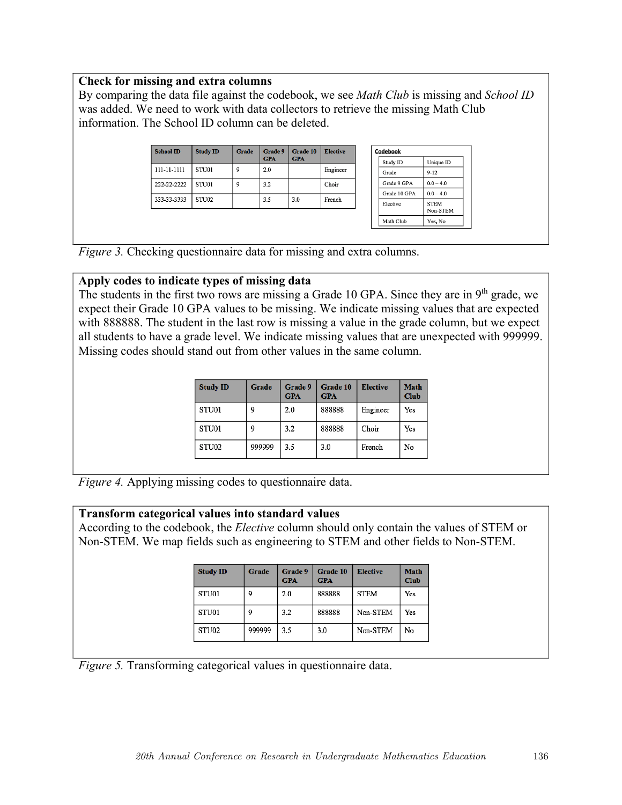# **Check for missing and extra columns**

By comparing the data file against the codebook, we see *Math Club* is missing and *School ID* was added. We need to work with data collectors to retrieve the missing Math Club information. The School ID column can be deleted.

| <b>School ID</b> | <b>Study ID</b> | Grade | Grade 9<br><b>GPA</b> | Grade 10<br><b>GPA</b> | <b>Elective</b> |
|------------------|-----------------|-------|-----------------------|------------------------|-----------------|
| 111-11-1111      | STU01           | 9     | 2.0                   |                        | Engineer        |
| 222-22-2222      | STU01           | 9     | 3.2                   |                        | Choir           |
| 333-33-3333      | STU02           |       | 3.5                   | 3.0                    | French          |
|                  |                 |       |                       |                        |                 |

| Codebook     |                         |
|--------------|-------------------------|
| Study ID     | Unique ID               |
| Grade        | $9 - 12$                |
| Grade 9 GPA  | $0.0 - 4.0$             |
| Grade 10 GPA | $0.0 - 4.0$             |
| Elective     | <b>STEM</b><br>Non-STEM |
| Math Club    | Yes, No                 |

*Figure 3.* Checking questionnaire data for missing and extra columns.

# **Apply codes to indicate types of missing data**

The students in the first two rows are missing a Grade 10 GPA. Since they are in 9<sup>th</sup> grade, we expect their Grade 10 GPA values to be missing. We indicate missing values that are expected with 888888. The student in the last row is missing a value in the grade column, but we expect all students to have a grade level. We indicate missing values that are unexpected with 999999. Missing codes should stand out from other values in the same column.

| <b>Study ID</b> | Grade  | Grade 9<br><b>GPA</b> | Grade 10<br><b>GPA</b> | <b>Elective</b> | <b>Math</b><br><b>Club</b> |
|-----------------|--------|-----------------------|------------------------|-----------------|----------------------------|
| STU01           | q      | 2.0                   | 888888                 | Engineer        | Yes                        |
| STU01           | 9      | 3.2                   | 888888                 | Choir           | Yes                        |
| STU02           | 999999 | 3.5                   | 3.0                    | French          | No                         |

*Figure 4.* Applying missing codes to questionnaire data.

# **Transform categorical values into standard values**

According to the codebook, the *Elective* column should only contain the values of STEM or Non-STEM. We map fields such as engineering to STEM and other fields to Non-STEM.

| <b>Study ID</b> | Grade  | Grade 9<br><b>GPA</b> | Grade 10<br><b>GPA</b> | <b>Elective</b> | <b>Math</b><br>Club |
|-----------------|--------|-----------------------|------------------------|-----------------|---------------------|
| STU01           | 9      | 2.0                   | 888888                 | <b>STEM</b>     | Yes                 |
| STU01           | 9      | 3.2                   | 888888                 | Non-STEM        | Yes                 |
| STU02           | 999999 | 3.5                   | 3.0                    | Non-STEM        | No                  |

*Figure 5.* Transforming categorical values in questionnaire data.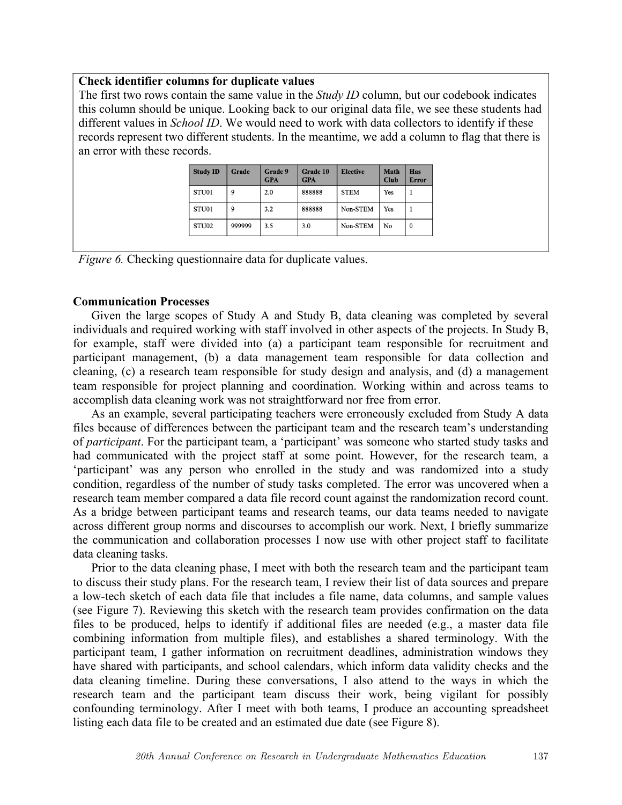## **Check identifier columns for duplicate values**

The first two rows contain the same value in the *Study ID* column, but our codebook indicates this column should be unique. Looking back to our original data file, we see these students had different values in *School ID*. We would need to work with data collectors to identify if these records represent two different students. In the meantime, we add a column to flag that there is an error with these records.

| <b>Study ID</b>   | Grade  | Grade 9<br><b>GPA</b> | Grade 10<br><b>GPA</b> | <b>Elective</b> | <b>Math</b><br><b>Club</b> | <b>Has</b><br><b>Error</b> |
|-------------------|--------|-----------------------|------------------------|-----------------|----------------------------|----------------------------|
| STU01             | 9      | 2.0                   | 888888                 | <b>STEM</b>     | Yes                        |                            |
| STU01             | 9      | 3.2                   | 888888                 | Non-STEM        | Yes                        |                            |
| STU <sub>02</sub> | 999999 | 3.5                   | 3.0                    | Non-STEM        | No                         | 0                          |

*Figure 6.* Checking questionnaire data for duplicate values.

# **Communication Processes**

Given the large scopes of Study A and Study B, data cleaning was completed by several individuals and required working with staff involved in other aspects of the projects. In Study B, for example, staff were divided into (a) a participant team responsible for recruitment and participant management, (b) a data management team responsible for data collection and cleaning, (c) a research team responsible for study design and analysis, and (d) a management team responsible for project planning and coordination. Working within and across teams to accomplish data cleaning work was not straightforward nor free from error.

As an example, several participating teachers were erroneously excluded from Study A data files because of differences between the participant team and the research team's understanding of *participant*. For the participant team, a 'participant' was someone who started study tasks and had communicated with the project staff at some point. However, for the research team, a 'participant' was any person who enrolled in the study and was randomized into a study condition, regardless of the number of study tasks completed. The error was uncovered when a research team member compared a data file record count against the randomization record count. As a bridge between participant teams and research teams, our data teams needed to navigate across different group norms and discourses to accomplish our work. Next, I briefly summarize the communication and collaboration processes I now use with other project staff to facilitate data cleaning tasks.

Prior to the data cleaning phase, I meet with both the research team and the participant team to discuss their study plans. For the research team, I review their list of data sources and prepare a low-tech sketch of each data file that includes a file name, data columns, and sample values (see Figure 7). Reviewing this sketch with the research team provides confirmation on the data files to be produced, helps to identify if additional files are needed (e.g., a master data file combining information from multiple files), and establishes a shared terminology. With the participant team, I gather information on recruitment deadlines, administration windows they have shared with participants, and school calendars, which inform data validity checks and the data cleaning timeline. During these conversations, I also attend to the ways in which the research team and the participant team discuss their work, being vigilant for possibly confounding terminology. After I meet with both teams, I produce an accounting spreadsheet listing each data file to be created and an estimated due date (see Figure 8).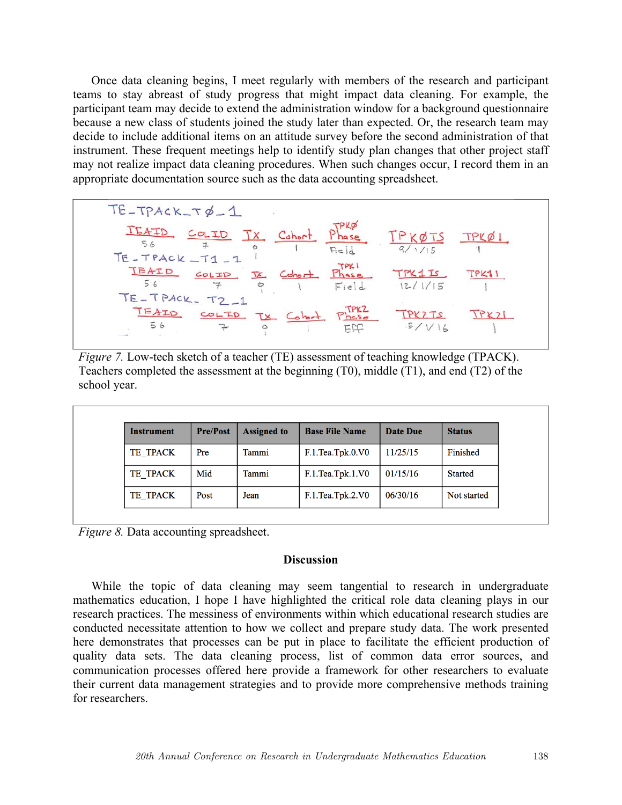Once data cleaning begins, I meet regularly with members of the research and participant teams to stay abreast of study progress that might impact data cleaning. For example, the participant team may decide to extend the administration window for a background questionnaire because a new class of students joined the study later than expected. Or, the research team may decide to include additional items on an attitude survey before the second administration of that instrument. These frequent meetings help to identify study plan changes that other project staff may not realize impact data cleaning procedures. When such changes occur, I record them in an appropriate documentation source such as the data accounting spreadsheet.

 $TE - TPACK - T\phi - 1$  $TEATD COLID Tx Chor Phase TPKØTS  
\n $56$   $\frac{7}{7}$  Chor Plase TPKØTS  
\n $1$  Fe Q 1 1$ </u>  $\frac{TPXLD}{56}$   $\frac{ColID}{7}$   $\frac{TL}{100}$   $\frac{TPX1}{100}$   $\frac{TPX1}{100}$   $\frac{TPX1}{100}$   $\frac{TPX1}{100}$   $\frac{TPX15}{12/1/15}$ TE-TPACK-T2-1 TEATO COLTO TX Cobet Phase TPKZTS

*Figure 7.* Low-tech sketch of a teacher (TE) assessment of teaching knowledge (TPACK). Teachers completed the assessment at the beginning (T0), middle (T1), and end (T2) of the school year.

| Instrument | <b>Pre/Post</b> | <b>Assigned to</b> | <b>Base File Name</b> | Date Due | <b>Status</b>  |
|------------|-----------------|--------------------|-----------------------|----------|----------------|
| TE TPACK   | Pre             | Tammi              | F.1.Tea.Tpk.0.V0      | 11/25/15 | Finished       |
| TE TPACK   | Mid             | Tammi              | F.1.Tea.Tpk.1.V0      | 01/15/16 | <b>Started</b> |
| TE TPACK   | Post            | Jean               | F.1.Tea.Tpk.2.V0      | 06/30/16 | Not started    |

*Figure 8.* Data accounting spreadsheet.

### **Discussion**

While the topic of data cleaning may seem tangential to research in undergraduate mathematics education, I hope I have highlighted the critical role data cleaning plays in our research practices. The messiness of environments within which educational research studies are conducted necessitate attention to how we collect and prepare study data. The work presented here demonstrates that processes can be put in place to facilitate the efficient production of quality data sets. The data cleaning process, list of common data error sources, and communication processes offered here provide a framework for other researchers to evaluate their current data management strategies and to provide more comprehensive methods training for researchers.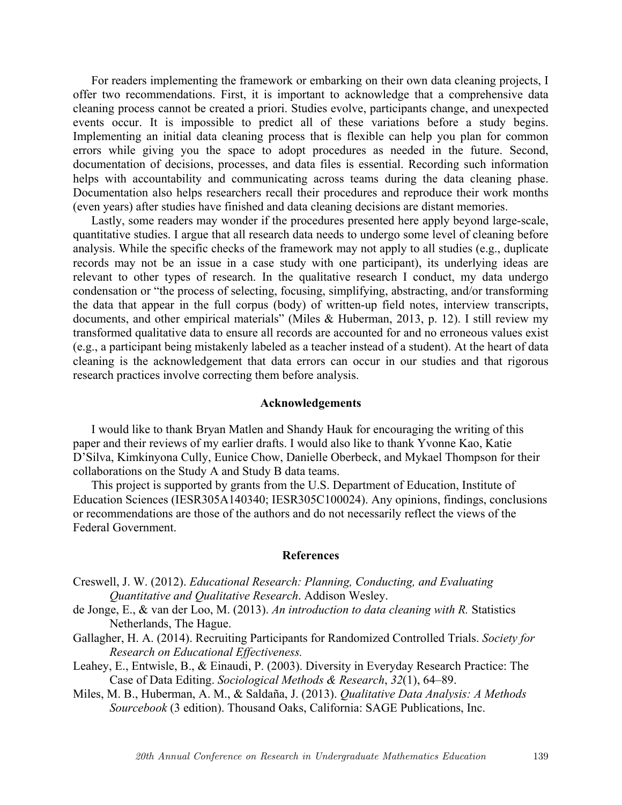For readers implementing the framework or embarking on their own data cleaning projects, I offer two recommendations. First, it is important to acknowledge that a comprehensive data cleaning process cannot be created a priori. Studies evolve, participants change, and unexpected events occur. It is impossible to predict all of these variations before a study begins. Implementing an initial data cleaning process that is flexible can help you plan for common errors while giving you the space to adopt procedures as needed in the future. Second, documentation of decisions, processes, and data files is essential. Recording such information helps with accountability and communicating across teams during the data cleaning phase. Documentation also helps researchers recall their procedures and reproduce their work months (even years) after studies have finished and data cleaning decisions are distant memories.

Lastly, some readers may wonder if the procedures presented here apply beyond large-scale, quantitative studies. I argue that all research data needs to undergo some level of cleaning before analysis. While the specific checks of the framework may not apply to all studies (e.g., duplicate records may not be an issue in a case study with one participant), its underlying ideas are relevant to other types of research. In the qualitative research I conduct, my data undergo condensation or "the process of selecting, focusing, simplifying, abstracting, and/or transforming the data that appear in the full corpus (body) of written-up field notes, interview transcripts, documents, and other empirical materials" (Miles & Huberman, 2013, p. 12). I still review my transformed qualitative data to ensure all records are accounted for and no erroneous values exist (e.g., a participant being mistakenly labeled as a teacher instead of a student). At the heart of data cleaning is the acknowledgement that data errors can occur in our studies and that rigorous research practices involve correcting them before analysis.

### **Acknowledgements**

I would like to thank Bryan Matlen and Shandy Hauk for encouraging the writing of this paper and their reviews of my earlier drafts. I would also like to thank Yvonne Kao, Katie D'Silva, Kimkinyona Cully, Eunice Chow, Danielle Oberbeck, and Mykael Thompson for their collaborations on the Study A and Study B data teams.

This project is supported by grants from the U.S. Department of Education, Institute of Education Sciences (IESR305A140340; IESR305C100024). Any opinions, findings, conclusions or recommendations are those of the authors and do not necessarily reflect the views of the Federal Government.

#### **References**

- Creswell, J. W. (2012). *Educational Research: Planning, Conducting, and Evaluating Quantitative and Qualitative Research*. Addison Wesley.
- de Jonge, E., & van der Loo, M. (2013). *An introduction to data cleaning with R.* Statistics Netherlands, The Hague.
- Gallagher, H. A. (2014). Recruiting Participants for Randomized Controlled Trials. *Society for Research on Educational Effectiveness.*
- Leahey, E., Entwisle, B., & Einaudi, P. (2003). Diversity in Everyday Research Practice: The Case of Data Editing. *Sociological Methods & Research*, *32*(1), 64–89.
- Miles, M. B., Huberman, A. M., & Saldaña, J. (2013). *Qualitative Data Analysis: A Methods Sourcebook* (3 edition). Thousand Oaks, California: SAGE Publications, Inc.